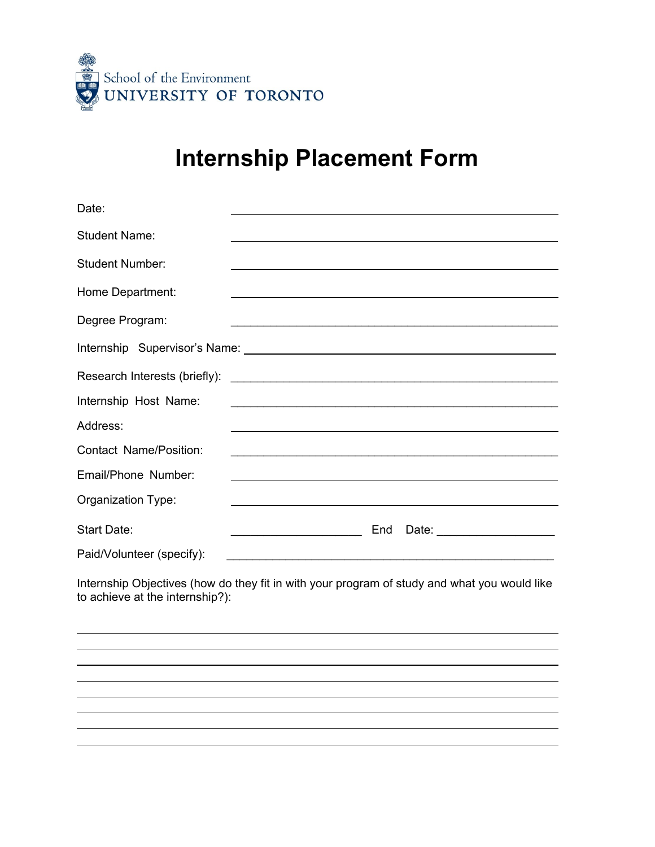

## **Internship Placement Form**

| Date:                         |                                                                                                                       |
|-------------------------------|-----------------------------------------------------------------------------------------------------------------------|
| <b>Student Name:</b>          |                                                                                                                       |
| <b>Student Number:</b>        |                                                                                                                       |
| Home Department:              |                                                                                                                       |
| Degree Program:               | <u> 1989 - Johann Stoff, amerikansk politiker (d. 1989)</u>                                                           |
|                               |                                                                                                                       |
|                               |                                                                                                                       |
| Internship Host Name:         |                                                                                                                       |
| Address:                      |                                                                                                                       |
| <b>Contact Name/Position:</b> |                                                                                                                       |
| Email/Phone Number:           |                                                                                                                       |
| Organization Type:            | <u> 1980 - Johann Stoff, deutscher Stoff, der Stoff, der Stoff, der Stoff, der Stoff, der Stoff, der Stoff, der S</u> |
| <b>Start Date:</b>            | End<br>Date: ____________________                                                                                     |
| Paid/Volunteer (specify):     |                                                                                                                       |

Internship Objectives (how do they fit in with your program of study and what you would like to achieve at the internship?):